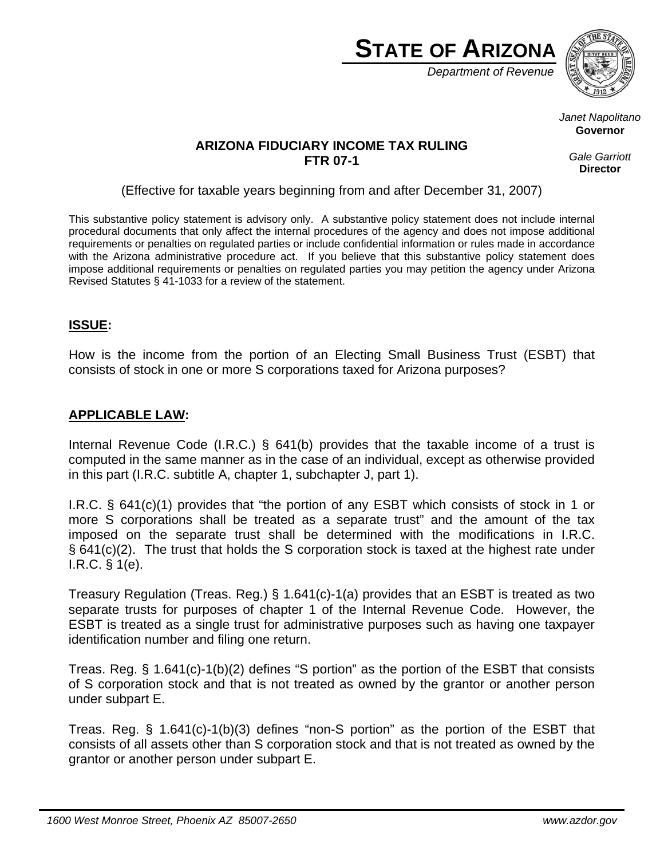

*Department of Revenue*



*Janet Napolitano*  **Governor** 

### **ARIZONA FIDUCIARY INCOME TAX RULING FTR 07-1**

*Gale Garriott*  **Director**

(Effective for taxable years beginning from and after December 31, 2007)

This substantive policy statement is advisory only. A substantive policy statement does not include internal procedural documents that only affect the internal procedures of the agency and does not impose additional requirements or penalties on regulated parties or include confidential information or rules made in accordance with the Arizona administrative procedure act. If you believe that this substantive policy statement does impose additional requirements or penalties on regulated parties you may petition the agency under Arizona Revised Statutes § 41-1033 for a review of the statement.

# **ISSUE:**

How is the income from the portion of an Electing Small Business Trust (ESBT) that consists of stock in one or more S corporations taxed for Arizona purposes?

## **APPLICABLE LAW:**

Internal Revenue Code (I.R.C.) § 641(b) provides that the taxable income of a trust is computed in the same manner as in the case of an individual, except as otherwise provided in this part (I.R.C. subtitle A, chapter 1, subchapter J, part 1).

I.R.C. § 641(c)(1) provides that "the portion of any ESBT which consists of stock in 1 or more S corporations shall be treated as a separate trust" and the amount of the tax imposed on the separate trust shall be determined with the modifications in I.R.C. § 641(c)(2). The trust that holds the S corporation stock is taxed at the highest rate under I.R.C. § 1(e).

Treasury Regulation (Treas. Reg.) § 1.641(c)-1(a) provides that an ESBT is treated as two separate trusts for purposes of chapter 1 of the Internal Revenue Code. However, the ESBT is treated as a single trust for administrative purposes such as having one taxpayer identification number and filing one return.

Treas. Reg. § 1.641(c)-1(b)(2) defines "S portion" as the portion of the ESBT that consists of S corporation stock and that is not treated as owned by the grantor or another person under subpart E.

Treas. Reg. § 1.641(c)-1(b)(3) defines "non-S portion" as the portion of the ESBT that consists of all assets other than S corporation stock and that is not treated as owned by the grantor or another person under subpart E.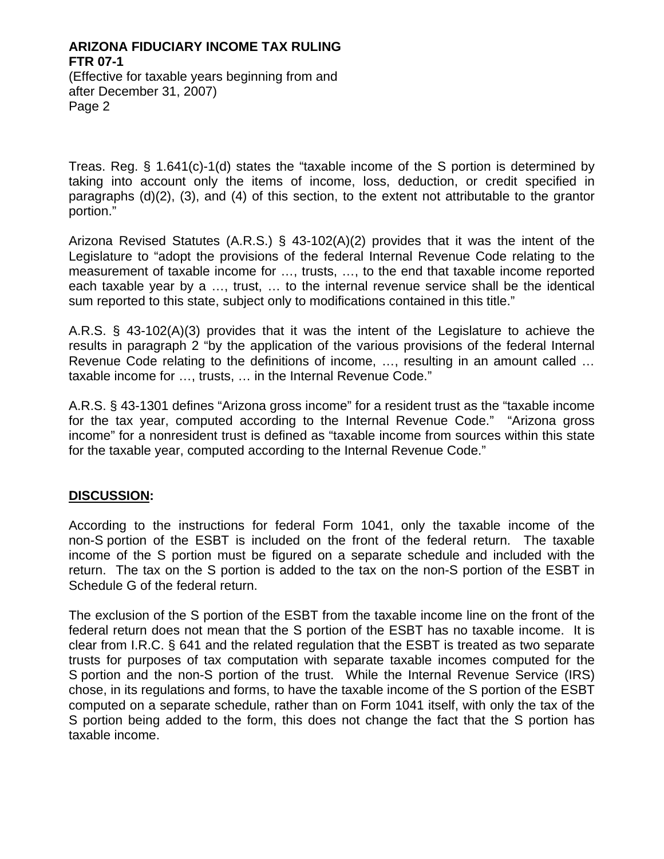# **ARIZONA FIDUCIARY INCOME TAX RULING FTR 07-1**

(Effective for taxable years beginning from and after December 31, 2007) Page 2

Treas. Reg. § 1.641(c)-1(d) states the "taxable income of the S portion is determined by taking into account only the items of income, loss, deduction, or credit specified in paragraphs (d)(2), (3), and (4) of this section, to the extent not attributable to the grantor portion."

Arizona Revised Statutes (A.R.S.) § 43-102(A)(2) provides that it was the intent of the Legislature to "adopt the provisions of the federal Internal Revenue Code relating to the measurement of taxable income for …, trusts, …, to the end that taxable income reported each taxable year by a …, trust, … to the internal revenue service shall be the identical sum reported to this state, subject only to modifications contained in this title."

A.R.S. § 43-102(A)(3) provides that it was the intent of the Legislature to achieve the results in paragraph 2 "by the application of the various provisions of the federal Internal Revenue Code relating to the definitions of income, …, resulting in an amount called … taxable income for …, trusts, … in the Internal Revenue Code."

A.R.S. § 43-1301 defines "Arizona gross income" for a resident trust as the "taxable income for the tax year, computed according to the Internal Revenue Code." "Arizona gross income" for a nonresident trust is defined as "taxable income from sources within this state for the taxable year, computed according to the Internal Revenue Code."

### **DISCUSSION:**

According to the instructions for federal Form 1041, only the taxable income of the non-S portion of the ESBT is included on the front of the federal return. The taxable income of the S portion must be figured on a separate schedule and included with the return. The tax on the S portion is added to the tax on the non-S portion of the ESBT in Schedule G of the federal return.

The exclusion of the S portion of the ESBT from the taxable income line on the front of the federal return does not mean that the S portion of the ESBT has no taxable income. It is clear from I.R.C. § 641 and the related regulation that the ESBT is treated as two separate trusts for purposes of tax computation with separate taxable incomes computed for the S portion and the non-S portion of the trust. While the Internal Revenue Service (IRS) chose, in its regulations and forms, to have the taxable income of the S portion of the ESBT computed on a separate schedule, rather than on Form 1041 itself, with only the tax of the S portion being added to the form, this does not change the fact that the S portion has taxable income.